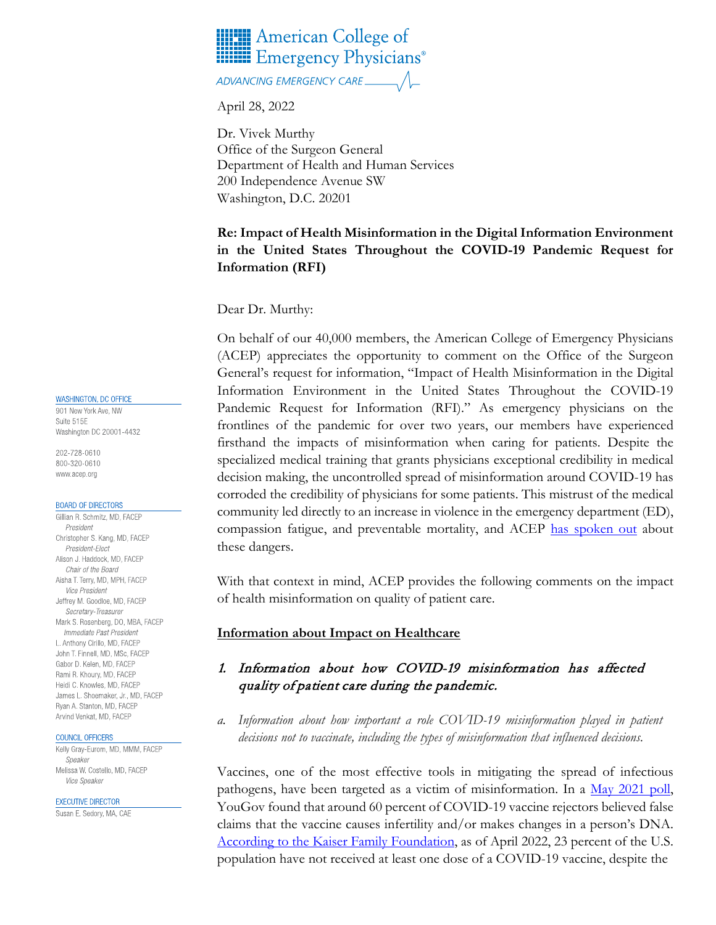

ADVANCING EMERGENCY CARE.

April 28, 2022

Dr. Vivek Murthy Office of the Surgeon General Department of Health and Human Services 200 Independence Avenue SW Washington, D.C. 20201

# **Re: Impact of Health Misinformation in the Digital Information Environment in the United States Throughout the COVID-19 Pandemic Request for Information (RFI)**

Dear Dr. Murthy:

On behalf of our 40,000 members, the American College of Emergency Physicians (ACEP) appreciates the opportunity to comment on the Office of the Surgeon General's request for information, "Impact of Health Misinformation in the Digital Information Environment in the United States Throughout the COVID-19 Pandemic Request for Information (RFI)." As emergency physicians on the frontlines of the pandemic for over two years, our members have experienced firsthand the impacts of misinformation when caring for patients. Despite the specialized medical training that grants physicians exceptional credibility in medical decision making, the uncontrolled spread of misinformation around COVID-19 has corroded the credibility of physicians for some patients. This mistrust of the medical community led directly to an increase in violence in the emergency department (ED), compassion fatigue, and preventable mortality, and ACEP [has spoken out](https://www.emergencyphysicians.org/press-releases/2020/7-30-20-acep-warns-against-covid-19-misinformation) about these dangers.

With that context in mind, ACEP provides the following comments on the impact of health misinformation on quality of patient care.

### **Information about Impact on Healthcare**

# 1. Information about how COVID-19 misinformation has affected quality of patient care during the pandemic.

*a. Information about how important a role COVID-19 misinformation played in patient decisions not to vaccinate, including the types of misinformation that influenced decisions.*

Vaccines, one of the most effective tools in mitigating the spread of infectious pathogens, have been targeted as a victim of misinformation. In a [May 2021 poll,](https://today.yougov.com/topics/politics/articles-reports/2021/05/14/vaccine-rejectors-believe-vaccines-not-tested) YouGov found that around 60 percent of COVID-19 vaccine rejectors believed false claims that the vaccine causes infertility and/or makes changes in a person's DNA. [According to the Kaiser Family Foundation,](https://www.kff.org/coronavirus-covid-19/issue-brief/latest-data-on-covid-19-vaccinations-by-race-ethnicity/) as of April 2022, 23 percent of the U.S. population have not received at least one dose of a COVID-19 vaccine, despite the

WASHINGTON, DC OFFICE

901 New York Ave, NW Suite 515E Washington DC 20001-4432

202-728-0610 800-320-0610 www.acep.org

### **BOARD OF DIRECTORS**

Gillian R. Schmitz, MD, FACEP President Christopher S. Kang, MD, FACEP President-Elect Alison J. Haddock, MD, FACEP Chair of the Board Aisha T. Terry, MD, MPH, FACEP Vice President Jeffrey M. Goodloe, MD, FACEP Secretary-Treasurer Mark S. Rosenberg, DO, MBA, FACEP Immediate Past President L. Anthony Cirillo, MD, FACEP John T. Finnell, MD, MSc, FACEP Gabor D. Kelen, MD. FACEP Rami R. Khoury, MD, FACEP Heidi C. Knowles, MD, FACEP James L. Shoemaker, Jr., MD, FACEP Ryan A. Stanton, MD, FACEP Arvind Venkat, MD, FACEP

#### COUNCIL OFFICERS

Kelly Gray-Eurom, MD, MMM, FACEP Speaker Melissa W. Costello, MD, FACEP Vice Speaker

**EXECUTIVE DIRECTOR** 

Susan E. Sedory, MA, CAE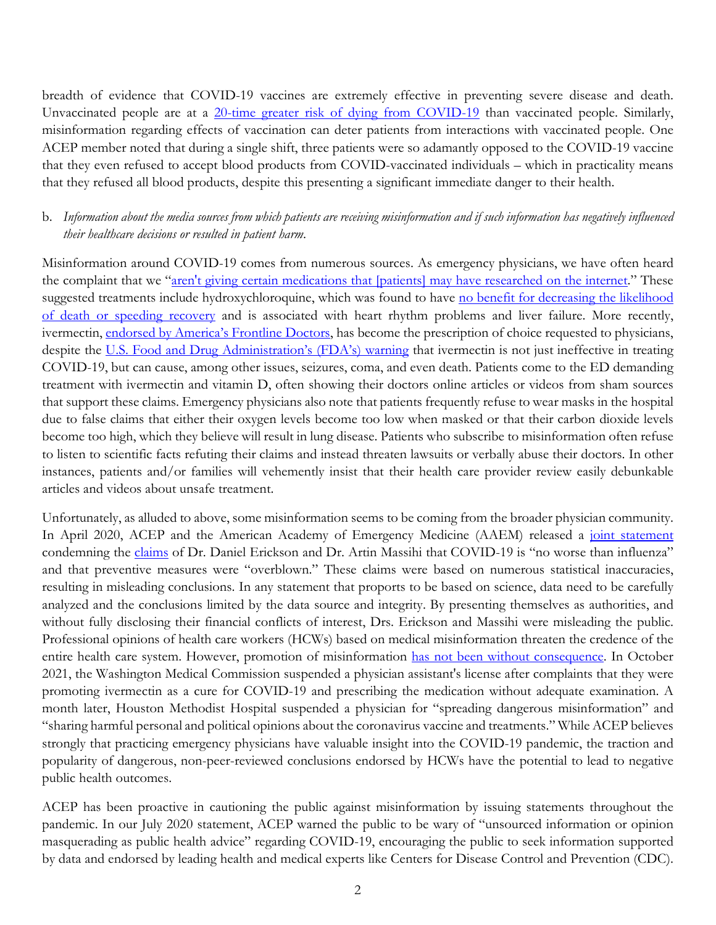breadth of evidence that COVID-19 vaccines are extremely effective in preventing severe disease and death. Unvaccinated people are at a [20-time greater risk of dying from COVID-19](https://covid.cdc.gov/covid-data-tracker/#rates-by-vaccine-status) than vaccinated people. Similarly, misinformation regarding effects of vaccination can deter patients from interactions with vaccinated people. One ACEP member noted that during a single shift, three patients were so adamantly opposed to the COVID-19 vaccine that they even refused to accept blood products from COVID-vaccinated individuals – which in practicality means that they refused all blood products, despite this presenting a significant immediate danger to their health.

# b. *Information about the media sources from which patients are receiving misinformation and if such information has negatively influenced their healthcare decisions or resulted in patient harm*.

Misinformation around COVID-19 comes from numerous sources. As emergency physicians, we have often heard the complaint that we ["aren't giving certain medications that \[patients\]](https://www.cbsnews.com/news/covid-misinformation-healthcare-workers-harassment/) may have researched on the internet." These suggested treatments include hydroxychloroquine, which was found to have [no benefit for decreasing the likelihood](https://www.fda.gov/drugs/drug-safety-and-availability/fda-cautions-against-use-hydroxychloroquine-or-chloroquine-covid-19-outside-hospital-setting-or)  [of death or speeding recovery](https://www.fda.gov/drugs/drug-safety-and-availability/fda-cautions-against-use-hydroxychloroquine-or-chloroquine-covid-19-outside-hospital-setting-or) and is associated with heart rhythm problems and liver failure. More recently, ivermectin, [endorsed by America's Frontline Doctors,](https://time.com/6092368/americas-frontline-doctors-covid-19-misinformation/) has become the prescription of choice requested to physicians, despite the [U.S. Food and Drug Administration's \(FDA's\) warning](https://www.fda.gov/consumers/consumer-updates/why-you-should-not-use-ivermectin-treat-or-prevent-covid-19) that ivermectin is not just ineffective in treating COVID-19, but can cause, among other issues, seizures, coma, and even death. Patients come to the ED demanding treatment with ivermectin and vitamin D, often showing their doctors online articles or videos from sham sources that support these claims. Emergency physicians also note that patients frequently refuse to wear masks in the hospital due to false claims that either their oxygen levels become too low when masked or that their carbon dioxide levels become too high, which they believe will result in lung disease. Patients who subscribe to misinformation often refuse to listen to scientific facts refuting their claims and instead threaten lawsuits or verbally abuse their doctors. In other instances, patients and/or families will vehemently insist that their health care provider review easily debunkable articles and videos about unsafe treatment.

Unfortunately, as alluded to above, some misinformation seems to be coming from the broader physician community. In April 2020, ACEP and the American Academy of Emergency Medicine (AAEM) released a [joint statement](https://www.acep.org/corona/COVID-19-alert/covid-19-articles/acep-aaem-joint-statement-on-physician-misinformation/) condemning the [claims](https://www.kqed.org/news/11814749/bakersfield-doctors-dubious-covid-19-test-conclusions-spread-like-wildfire) of Dr. Daniel Erickson and Dr. Artin Massihi that COVID-19 is "no worse than influenza" and that preventive measures were "overblown." These claims were based on numerous statistical inaccuracies, resulting in misleading conclusions. In any statement that proports to be based on science, data need to be carefully analyzed and the conclusions limited by the data source and integrity. By presenting themselves as authorities, and without fully disclosing their financial conflicts of interest, Drs. Erickson and Massihi were misleading the public. Professional opinions of health care workers (HCWs) based on medical misinformation threaten the credence of the entire health care system. However, promotion of misinformation [has not been without consequence.](https://www.yahoo.com/news/hospital-revokes-houston-doctors-privileges-122203178.html?guccounter=1) In October 2021, the Washington Medical Commission suspended a physician assistant's license after complaints that they were promoting ivermectin as a cure for COVID-19 and prescribing the medication without adequate examination. A month later, Houston Methodist Hospital suspended a physician for "spreading dangerous misinformation" and "sharing harmful personal and political opinions about the coronavirus vaccine and treatments." While ACEP believes strongly that practicing emergency physicians have valuable insight into the COVID-19 pandemic, the traction and popularity of dangerous, non-peer-reviewed conclusions endorsed by HCWs have the potential to lead to negative public health outcomes.

ACEP has been proactive in cautioning the public against misinformation by issuing statements throughout the pandemic. In our July 2020 statement, ACEP warned the public to be wary of "unsourced information or opinion masquerading as public health advice" regarding COVID-19, encouraging the public to seek information supported by data and endorsed by leading health and medical experts like Centers for Disease Control and Prevention (CDC).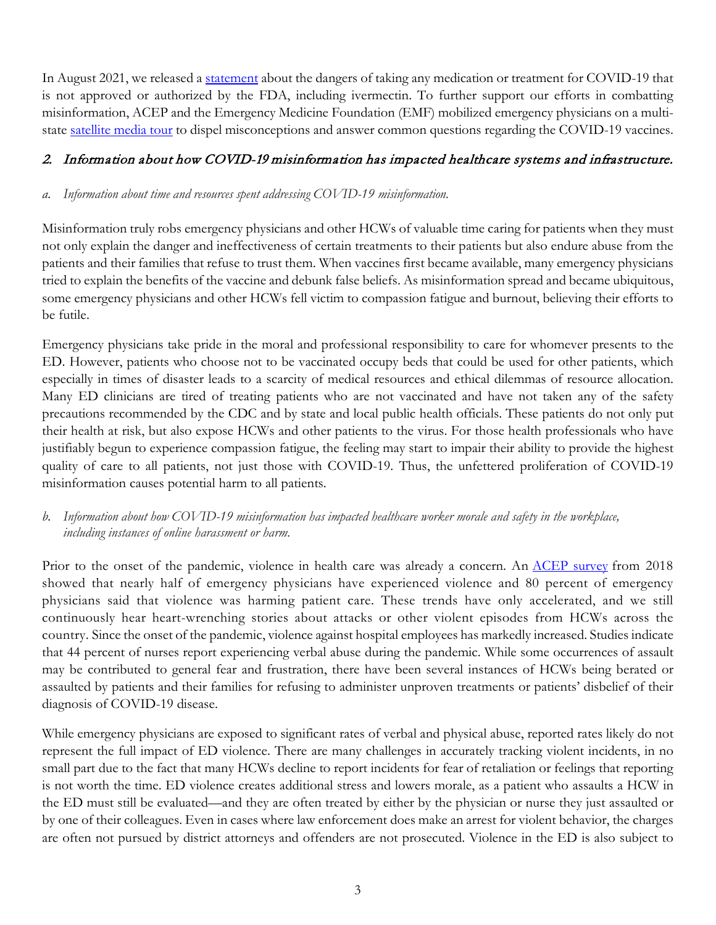In August 2021, we released a [statement](https://www.emergencyphysicians.org/press-releases/2021/8-31-21-emergency-physicians-do-not-take-ivermectin-for-covid-19) about the dangers of taking any medication or treatment for COVID-19 that is not approved or authorized by the FDA, including ivermectin. To further support our efforts in combatting misinformation, ACEP and the Emergency Medicine Foundation (EMF) mobilized emergency physicians on a multistate [satellite media tour](https://www.emergencyphysicians.org/press-releases/2021/11-9-21-emergency-physicians-ramp-up-efforts-to-address-vaccine-hesitancy) to dispel misconceptions and answer common questions regarding the COVID-19 vaccines.

# 2. Information about how COVID-19 misinformation has impacted healthcare systems and infrastructure.

### *a. Information about time and resources spent addressing COVID-19 misinformation.*

Misinformation truly robs emergency physicians and other HCWs of valuable time caring for patients when they must not only explain the danger and ineffectiveness of certain treatments to their patients but also endure abuse from the patients and their families that refuse to trust them. When vaccines first became available, many emergency physicians tried to explain the benefits of the vaccine and debunk false beliefs. As misinformation spread and became ubiquitous, some emergency physicians and other HCWs fell victim to compassion fatigue and burnout, believing their efforts to be futile.

Emergency physicians take pride in the moral and professional responsibility to care for whomever presents to the ED. However, patients who choose not to be vaccinated occupy beds that could be used for other patients, which especially in times of disaster leads to a scarcity of medical resources and ethical dilemmas of resource allocation. Many ED clinicians are tired of treating patients who are not vaccinated and have not taken any of the safety precautions recommended by the CDC and by state and local public health officials. These patients do not only put their health at risk, but also expose HCWs and other patients to the virus. For those health professionals who have justifiably begun to experience compassion fatigue, the feeling may start to impair their ability to provide the highest quality of care to all patients, not just those with COVID-19. Thus, the unfettered proliferation of COVID-19 misinformation causes potential harm to all patients.

# *b. Information about how COVID-19 misinformation has impacted healthcare worker morale and safety in the workplace, including instances of online harassment or harm.*

Prior to the onset of the pandemic, violence in health care was already a concern. An [ACEP survey](https://www.emergencyphysicians.org/press-releases/2018/10-2-2018-violence-in-emergency-departments-is--increasing-harming-patients-new-research-finds) from 2018 showed that nearly half of emergency physicians have experienced violence and 80 percent of emergency physicians said that violence was harming patient care. These trends have only accelerated, and we still continuously hear heart-wrenching stories about attacks or other violent episodes from HCWs across the country. Since the onset of the pandemic, violence against hospital employees has markedly increased. Studies indicate that 44 percent of nurses report experiencing verbal abuse during the pandemic. While some occurrences of assault may be contributed to general fear and frustration, there have been several instances of HCWs being berated or assaulted by patients and their families for refusing to administer unproven treatments or patients' disbelief of their diagnosis of COVID-19 disease.

While emergency physicians are exposed to significant rates of verbal and physical abuse, reported rates likely do not represent the full impact of ED violence. There are many challenges in accurately tracking violent incidents, in no small part due to the fact that many HCWs decline to report incidents for fear of retaliation or feelings that reporting is not worth the time. ED violence creates additional stress and lowers morale, as a patient who assaults a HCW in the ED must still be evaluated—and they are often treated by either by the physician or nurse they just assaulted or by one of their colleagues. Even in cases where law enforcement does make an arrest for violent behavior, the charges are often not pursued by district attorneys and offenders are not prosecuted. Violence in the ED is also subject to